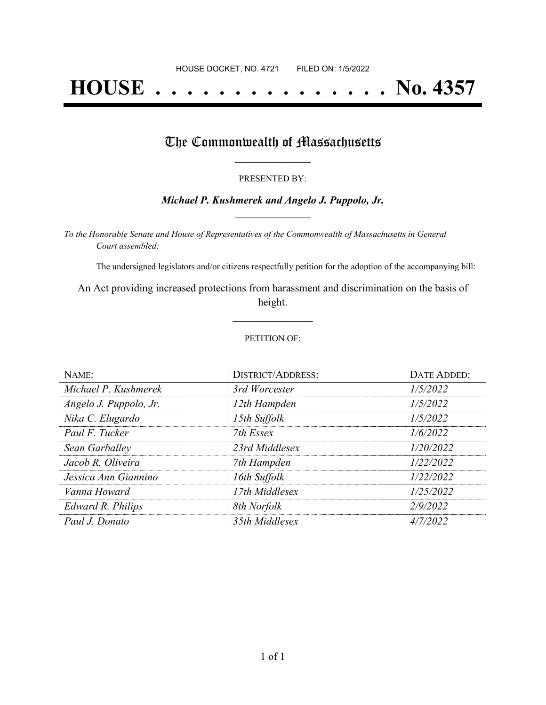# **HOUSE . . . . . . . . . . . . . . . No. 4357**

### The Commonwealth of Massachusetts

#### PRESENTED BY:

#### *Michael P. Kushmerek and Angelo J. Puppolo, Jr.* **\_\_\_\_\_\_\_\_\_\_\_\_\_\_\_\_\_**

*To the Honorable Senate and House of Representatives of the Commonwealth of Massachusetts in General Court assembled:*

The undersigned legislators and/or citizens respectfully petition for the adoption of the accompanying bill:

An Act providing increased protections from harassment and discrimination on the basis of height.

**\_\_\_\_\_\_\_\_\_\_\_\_\_\_\_**

#### PETITION OF:

| NAME:                  | <b>DISTRICT/ADDRESS:</b> | DATE ADDED: |
|------------------------|--------------------------|-------------|
| Michael P. Kushmerek   | 3rd Worcester            | 1/5/2022    |
| Angelo J. Puppolo, Jr. | 12th Hampden             | 1/5/2022    |
| Nika C. Elugardo       | 15th Suffolk             | 1/5/2022    |
| Paul F. Tucker         | 7th Essex                | 1/6/2022    |
| Sean Garballey         | 23rd Middlesex           | 1/20/2022   |
| Jacob R. Oliveira      | 7th Hampden              | 1/22/2022   |
| Jessica Ann Giannino   | 16th Suffolk             | 1/22/2022   |
| Vanna Howard           | 17th Middlesex           | 1/25/2022   |
| Edward R. Philips      | 8th Norfolk              | 2/9/2022    |
| Paul J. Donato         | 35th Middlesex           | 4/7/2022    |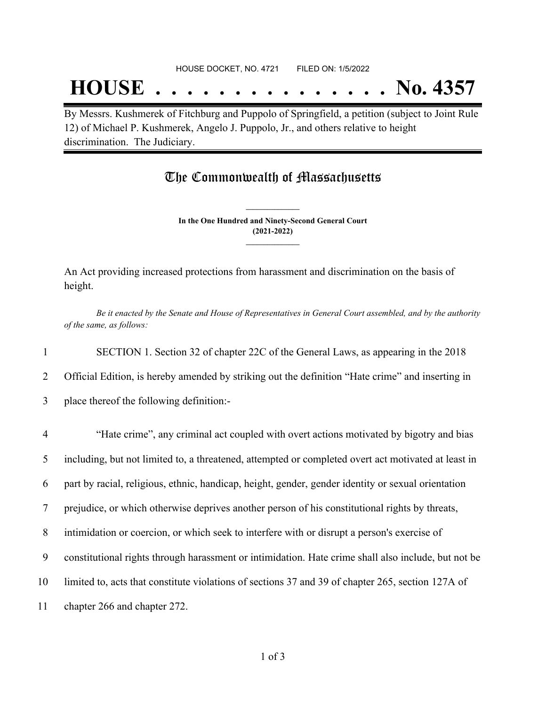## **HOUSE . . . . . . . . . . . . . . . No. 4357**

By Messrs. Kushmerek of Fitchburg and Puppolo of Springfield, a petition (subject to Joint Rule 12) of Michael P. Kushmerek, Angelo J. Puppolo, Jr., and others relative to height discrimination. The Judiciary.

### The Commonwealth of Massachusetts

**In the One Hundred and Ninety-Second General Court (2021-2022) \_\_\_\_\_\_\_\_\_\_\_\_\_\_\_**

**\_\_\_\_\_\_\_\_\_\_\_\_\_\_\_**

An Act providing increased protections from harassment and discrimination on the basis of height.

Be it enacted by the Senate and House of Representatives in General Court assembled, and by the authority *of the same, as follows:*

1 SECTION 1. Section 32 of chapter 22C of the General Laws, as appearing in the 2018

2 Official Edition, is hereby amended by striking out the definition "Hate crime" and inserting in

3 place thereof the following definition:-

| $\overline{4}$ | "Hate crime", any criminal act coupled with overt actions motivated by bigotry and bias             |
|----------------|-----------------------------------------------------------------------------------------------------|
| 5              | including, but not limited to, a threatened, attempted or completed overt act motivated at least in |
| 6              | part by racial, religious, ethnic, handicap, height, gender, gender identity or sexual orientation  |
| 7              | prejudice, or which otherwise deprives another person of his constitutional rights by threats,      |
| 8              | intimidation or coercion, or which seek to interfere with or disrupt a person's exercise of         |
| 9              | constitutional rights through harassment or intimidation. Hate crime shall also include, but not be |
| 10             | limited to, acts that constitute violations of sections 37 and 39 of chapter 265, section 127A of   |
| 11             | chapter 266 and chapter 272.                                                                        |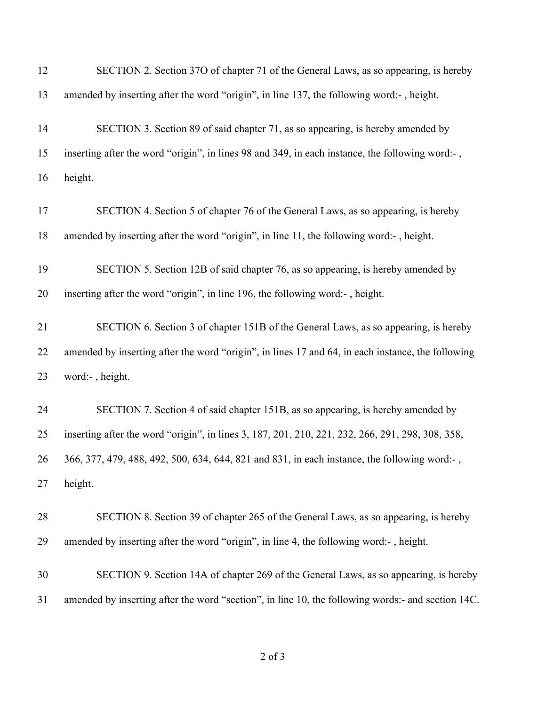| 12 | SECTION 2. Section 370 of chapter 71 of the General Laws, as so appearing, is hereby              |
|----|---------------------------------------------------------------------------------------------------|
| 13 | amended by inserting after the word "origin", in line 137, the following word:-, height.          |
| 14 | SECTION 3. Section 89 of said chapter 71, as so appearing, is hereby amended by                   |
| 15 | inserting after the word "origin", in lines 98 and 349, in each instance, the following word:-,   |
| 16 | height.                                                                                           |
| 17 | SECTION 4. Section 5 of chapter 76 of the General Laws, as so appearing, is hereby                |
| 18 | amended by inserting after the word "origin", in line 11, the following word:-, height.           |
| 19 | SECTION 5. Section 12B of said chapter 76, as so appearing, is hereby amended by                  |
| 20 | inserting after the word "origin", in line 196, the following word:-, height.                     |
| 21 | SECTION 6. Section 3 of chapter 151B of the General Laws, as so appearing, is hereby              |
| 22 | amended by inserting after the word "origin", in lines 17 and 64, in each instance, the following |
| 23 | word:-, height.                                                                                   |
| 24 | SECTION 7. Section 4 of said chapter 151B, as so appearing, is hereby amended by                  |
| 25 | inserting after the word "origin", in lines 3, 187, 201, 210, 221, 232, 266, 291, 298, 308, 358,  |
| 26 | 366, 377, 479, 488, 492, 500, 634, 644, 821 and 831, in each instance, the following word:-,      |
| 27 | height.                                                                                           |
| 28 | SECTION 8. Section 39 of chapter 265 of the General Laws, as so appearing, is hereby              |
| 29 | amended by inserting after the word "origin", in line 4, the following word:-, height.            |
| 30 | SECTION 9. Section 14A of chapter 269 of the General Laws, as so appearing, is hereby             |
| 31 | amended by inserting after the word "section", in line 10, the following words:- and section 14C. |
|    |                                                                                                   |

## of 3